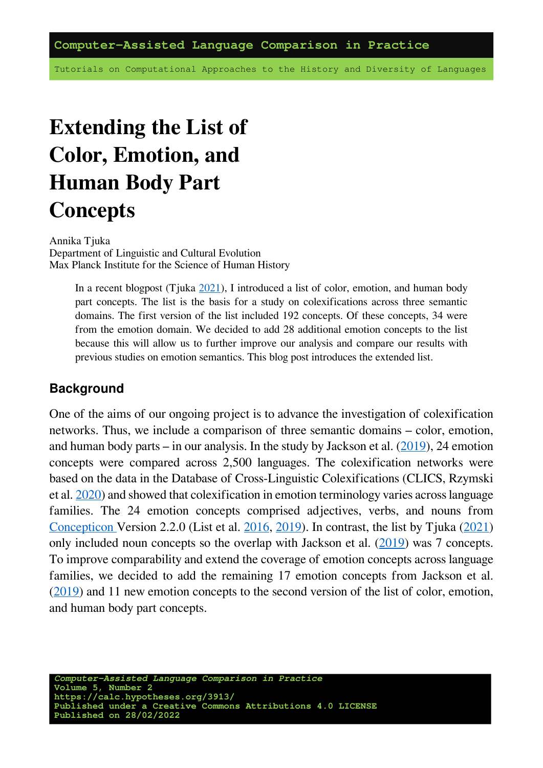Tutorials on Computational Approaches to the History and Diversity of Languages

# **Extending the List of Color, Emotion, and Human Body Part Concepts**

Annika Tjuka Department of Linguistic and Cultural Evolution Max Planck Institute for the Science of Human History

> In a recent blogpost (Tjuka [2021](https://calc.hypotheses.org/3023)), I introduced a list of color, emotion, and human body part concepts. The list is the basis for a study on colexifications across three semantic domains. The first version of the list included 192 concepts. Of these concepts, 34 were from the emotion domain. We decided to add 28 additional emotion concepts to the list because this will allow us to further improve our analysis and compare our results with previous studies on emotion semantics. This blog post introduces the extended list.

#### **Background**

One of the aims of our ongoing project is to advance the investigation of colexification networks. Thus, we include a comparison of three semantic domains – color, emotion, and human body parts – in our analysis. In the study by Jackson et al.  $(2019)$ , 24 emotion concepts were compared across 2,500 languages. The colexification networks were based on the data in the Database of Cross-Linguistic Colexifications (CLICS, Rzymski et al. [2020\)](https://doi.org/10.1038/s41597-019-0341-x) and showed that colexification in emotion terminology varies across language families. The 24 emotion concepts comprised adjectives, verbs, and nouns from [Concepticon](https://concepticon.clld.org/) Version 2.2.0 (List et al. [2016](https://aclanthology.org/L16-1379/), [2019\)](https://github.com/concepticon/concepticon-data/tree/v2.2.0). In contrast, the list by Tjuka [\(2021](https://calc.hypotheses.org/3023)) only included noun concepts so the overlap with Jackson et al.([2019\)](https://doi.org/10.1126/science.aaw8160) was 7 concepts. To improve comparability and extend the coverage of emotion concepts across language families, we decided to add the remaining 17 emotion concepts from Jackson et al.  $(2019)$  $(2019)$  and 11 new emotion concepts to the second version of the list of color, emotion, and human body part concepts.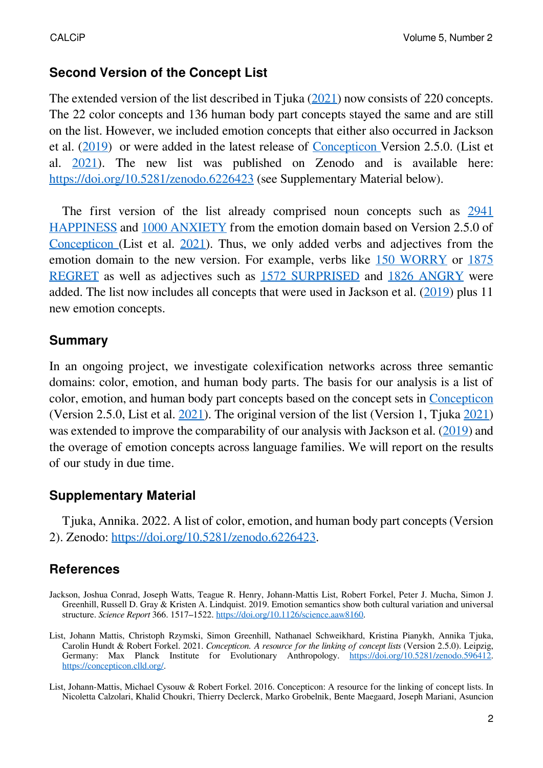#### **Second Version of the Concept List**

Theextended version of the list described in Tiuka ([2021\)](https://calc.hypotheses.org/3023) now consists of 220 concepts. The 22 color concepts and 136 human body part concepts stayed the same and are still on the list. However, we included emotion concepts that either also occurred in Jackson et al. [\(2019](https://doi.org/10.1126/science.aaw8160)) or were added in the latest release of [Concepticon](https://concepticon.clld.org/) Version 2.5.0. (List et al. [2021](https://doi.org/10.5281/zenodo.596412)). The new list was published on Zenodo and is available here: <https://doi.org/10.5281/zenodo.6226423> (see Supplementary Material below).

The first version of the list already comprised noun concepts such as [2941](https://concepticon.clld.org/parameters/2941) [HAPPINESS](https://concepticon.clld.org/parameters/2941) and [1000 ANXIETY](https://concepticon.clld.org/parameters/1000) from the emotion domain based on Version 2.5.0 of [Concepticon](https://concepticon.clld.org/) (List et al. [2021\)](https://doi.org/10.5281/zenodo.596412). Thus, we only added verbs and adjectives from the emotion domain to the new version. For example, verbs like [150 WORRY](https://concepticon.clld.org/parameters/150) or [1875](https://concepticon.clld.org/parameters/1875) [REGRET](https://concepticon.clld.org/parameters/1875) as well as adjectives such as [1572 SURPRISED](https://concepticon.clld.org/parameters/1572) and [1826 ANGRY](https://concepticon.clld.org/parameters/1826) were added. The list now includes all concepts that were used in Jackson et al.([2019\)](https://doi.org/10.1126/science.aaw8160) plus 11 new emotion concepts.

#### **Summary**

In an ongoing project, we investigate colexification networks across three semantic domains: color, emotion, and human body parts. The basis for our analysis is a list of color, emotion, and human body part concepts based on the concept sets in [Concepticon](https://concepticon.clld.org/) (Version 2.5.0, List et al.  $2021$ ). The original version of the list (Version 1, Tiuka [2021\)](https://doi.org/10.5281/zenodo.596412) wasextended to improve the comparability of our analysis with Jackson et al. ([2019\)](https://doi.org/10.1126/science.aaw8160) and the overage of emotion concepts across language families. We will report on the results of our study in due time.

### **Supplementary Material**

Tjuka, Annika. 2022. A list of color, emotion, and human body part concepts (Version 2). Zenodo: <https://doi.org/10.5281/zenodo.6226423>.

## **References**

- Jackson, Joshua Conrad, Joseph Watts, Teague R. Henry, Johann-Mattis List, Robert Forkel, Peter J. Mucha, Simon J. Greenhill, Russell D. Gray & Kristen A. Lindquist. 2019. Emotion semantics show both cultural variation and universal structure. *Science Report* 366. 1517–1522. <https://doi.org/10.1126/science.aaw8160>.
- List, Johann Mattis, Christoph Rzymski, Simon Greenhill, Nathanael Schweikhard, Kristina Pianykh, Annika Tjuka, Carolin Hundt & Robert Forkel. 2021. *Concepticon. A resource for the linking of concept lists* (Version 2.5.0). Leipzig, Germany: Max Planck Institute for Evolutionary Anthropology. [https://doi.org/10.5281/zenodo.596412.](https://doi.org/10.5281/zenodo.596412) [https://concepticon.clld.org/.](https://concepticon.clld.org/)
- List, Johann-Mattis, Michael Cysouw & Robert Forkel. 2016. Concepticon: A resource for the linking of concept lists. In Nicoletta Calzolari, Khalid Choukri, Thierry Declerck, Marko Grobelnik, Bente Maegaard, Joseph Mariani, Asuncion